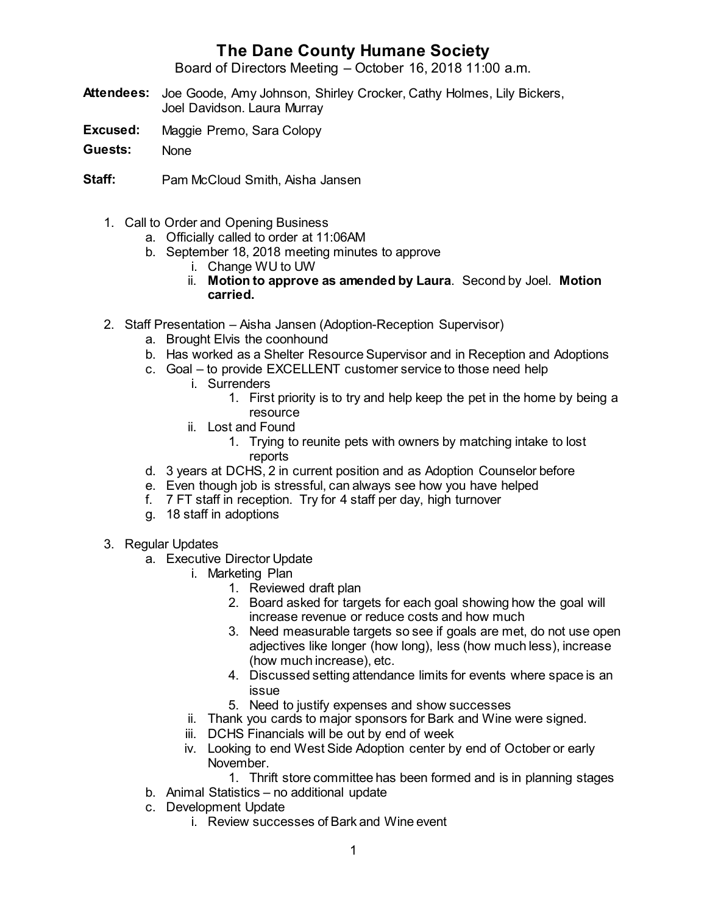## **The Dane County Humane Society**

Board of Directors Meeting – October 16, 2018 11:00 a.m.

- **Attendees:** Joe Goode, Amy Johnson, Shirley Crocker, Cathy Holmes, Lily Bickers, Joel Davidson. Laura Murray
- **Excused:** Maggie Premo, Sara Colopy
- **Guests:** None
- **Staff:** Pam McCloud Smith, Aisha Jansen
	- 1. Call to Order and Opening Business
		- a. Officially called to order at 11:06AM
		- b. September 18, 2018 meeting minutes to approve
			- i. Change WU to UW
			- ii. **Motion to approve as amended by Laura**. Second by Joel. **Motion carried.**
	- 2. Staff Presentation Aisha Jansen (Adoption-Reception Supervisor)
		- a. Brought Elvis the coonhound
		- b. Has worked as a Shelter Resource Supervisor and in Reception and Adoptions
		- c. Goal to provide EXCELLENT customer service to those need help
			- i. Surrenders
				- 1. First priority is to try and help keep the pet in the home by being a resource
			- ii. Lost and Found
				- 1. Trying to reunite pets with owners by matching intake to lost reports
		- d. 3 years at DCHS, 2 in current position and as Adoption Counselor before
		- e. Even though job is stressful, can always see how you have helped
		- f. 7 FT staff in reception. Try for 4 staff per day, high turnover
		- g. 18 staff in adoptions
	- 3. Regular Updates
		- a. Executive Director Update
			- i. Marketing Plan
				- 1. Reviewed draft plan
				- 2. Board asked for targets for each goal showing how the goal will increase revenue or reduce costs and how much
				- 3. Need measurable targets so see if goals are met, do not use open adjectives like longer (how long), less (how much less), increase (how much increase), etc.
				- 4. Discussed setting attendance limits for events where space is an issue
				- 5. Need to justify expenses and show successes
			- ii. Thank you cards to major sponsors for Bark and Wine were signed.
			- iii. DCHS Financials will be out by end of week
			- iv. Looking to end West Side Adoption center by end of October or early November.

1. Thrift store committee has been formed and is in planning stages

- b. Animal Statistics no additional update
- c. Development Update
	- i. Review successes of Bark and Wine event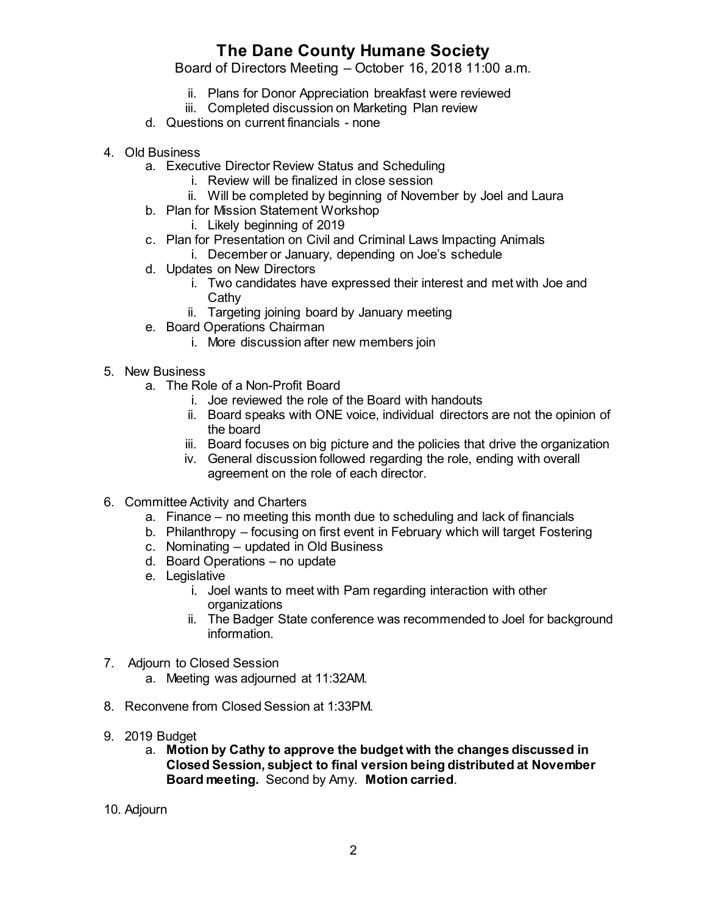## **The Dane County Humane Society**

Board of Directors Meeting – October 16, 2018 11:00 a.m.

- ii. Plans for Donor Appreciation breakfast were reviewed
- iii. Completed discussion on Marketing Plan review
- d. Questions on current financials none
- 4. Old Business
	- a. Executive Director Review Status and Scheduling
		- i. Review will be finalized in close session
		- ii. Will be completed by beginning of November by Joel and Laura
	- b. Plan for Mission Statement Workshop
		- i. Likely beginning of 2019
	- c. Plan for Presentation on Civil and Criminal Laws Impacting Animals
		- i. December or January, depending on Joe's schedule
	- d. Updates on New Directors
		- i. Two candidates have expressed their interest and met with Joe and **Cathy**
		- ii. Targeting joining board by January meeting
	- e. Board Operations Chairman
		- i. More discussion after new members join
- 5. New Business
	- a. The Role of a Non-Profit Board
		- i. Joe reviewed the role of the Board with handouts
		- ii. Board speaks with ONE voice, individual directors are not the opinion of the board
		- iii. Board focuses on big picture and the policies that drive the organization
		- iv. General discussion followed regarding the role, ending with overall agreement on the role of each director.
- 6. Committee Activity and Charters
	- a. Finance no meeting this month due to scheduling and lack of financials
	- b. Philanthropy focusing on first event in February which will target Fostering
	- c. Nominating updated in Old Business
	- d. Board Operations no update
	- e. Legislative
		- i. Joel wants to meet with Pam regarding interaction with other organizations
		- ii. The Badger State conference was recommended to Joel for background information.
- 7. Adjourn to Closed Session
	- a. Meeting was adjourned at 11:32AM.
- 8. Reconvene from Closed Session at 1:33PM.
- 9. 2019 Budget
	- a. **Motion by Cathy to approve the budget with the changes discussed in Closed Session, subject to final version being distributed at November Board meeting.** Second by Amy. **Motion carried**.
- 10. Adjourn